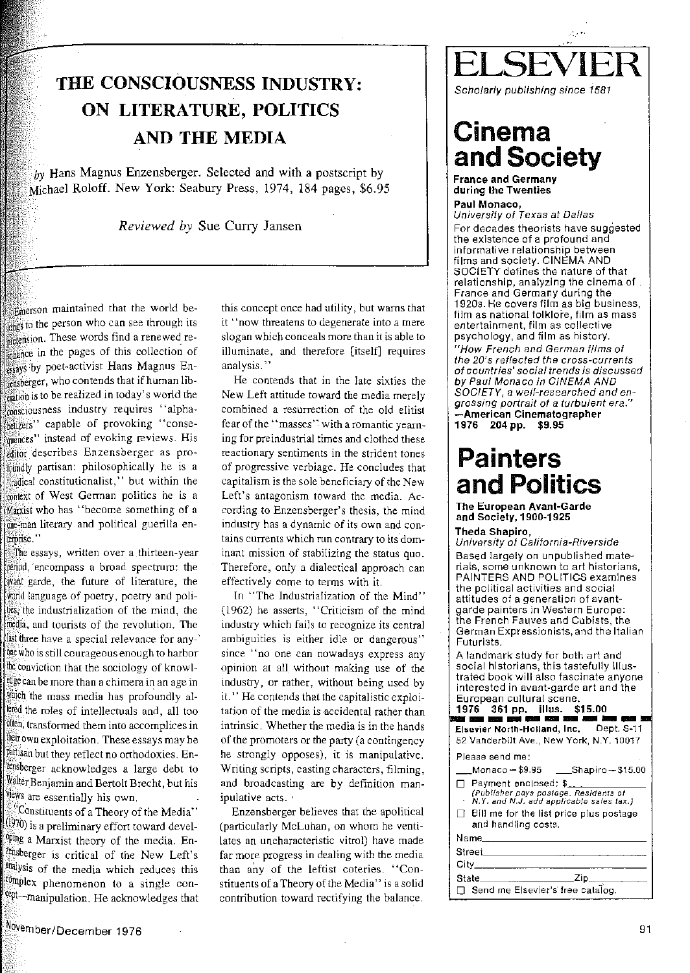### THE CONSCIOUSNESS INDUSTRY: ON LITERATURE, POLITICS **AND THE MEDIA**

by Hans Magnus Enzensberger. Selected and with a postscript by Michael Roloff. New York: Seabury Press, 1974, 184 pages, \$6.95

Reviewed by Sue Curry Jansen

Emerson maintained that the world beongs to the person who can see through its pretension. These words find a renewed resonance in the pages of this collection of essays by poet-activist Hans Magnus Entensberger, who contends that if human liberation is to be realized in today's world the consciousness industry requires "alphabetizers" capable of provoking "consequences" instead of evoking reviews. His editor describes Enzensberger as promindly partisan: philosophically he is a adical constitutionalist," but within the context of West German politics he is a Marxist who has "become something of a one-man literary and political guerilla enerprise."

The essays, written over a thirteen-year period, encompass a broad spectrum: the want garde, the future of literature, the world language of poetry, poetry and politics, the industrialization of the mind, the media, and tourists of the revolution. The last three have a special relevance for anyone who is still courageous enough to harbor the conviction that the sociology of knowledge can be more than a chimera in an age in thich the mass media has profoundly allered the roles of intellectuals and, all too often, transformed them into accomplices in their own exploitation. These essays may be patisan but they reflect no orthodoxies. En-<sup>zensberger</sup> acknowledges a large debt to Walter Benjamin and Bertolt Brecht, but his views are essentially his own.

"Constituents of a Theory of the Media" (1970) is a preliminary effort toward devel-Ping a Marxist theory of the media. Entensberger is critical of the New Left's analysis of the media which reduces this complex phenomenon to a single concept-manipulation. He acknowledges that this concept once had utility, but warns that it "now threatens to degenerate into a mere slogan which conceals more than it is able to illuminate, and therefore [itself] requires analysis."

He contends that in the late sixties the New Left attitude toward the media merely combined a resurrection of the old elitist fear of the "masses" with a romantic yearning for preindustrial times and clothed these reactionary sentiments in the strident tones of progressive verbiage. He concludes that capitalism is the sole beneficiary of the New Left's antagonism toward the media. According to Enzensberger's thesis, the mind industry has a dynamic of its own and contains currents which run contrary to its dominant mission of stabilizing the status quo. Therefore, only a dialectical approach can effectively come to terms with it.

In "The Industrialization of the Mind" (1962) he asserts, "Criticism of the mind industry which fails to recognize its central ambiguities is either idle or dangerous" since "no one can nowadays express any opinion at all without making use of the industry, or rather, without being used by it." He contends that the capitalistic exploitation of the media is accidental rather than intrinsic. Whether the media is in the hands of the promoters or the party (a contingency he strongly opposes), it is manipulative. Writing scripts, easting characters, filming, and broadcasting are by definition manipulative acts.

Enzensberger believes that the apolitical (particularly McLuhan, on whom he ventilates an uncharacteristic vitrol) have made far more progress in dealing with the media than any of the leftist coteries. "Constituents of a Theory of the Media" is a solid contribution toward rectifying the balance.

Scholarly publishing since 1581

لعباري

## Cinema and Society

**France and Germany** during the Twenties Paul Monaco.

University of Texas at Dallas For decades theorists have suggested the existence of a profound and informative relationship between films and society. CINEMA AND SOCIETY defines the nature of that relationship, analyzing the cinema of France and Germany during the 1920s. He covers film as big business, film as national folklore, film as mass entertainment, film as collective psychology, and film as history.

"How French and German films of the 20's reflected the cross-currents of countries' social trends is discussed by Paul Monaco in CINEMA AND SOCIETY, a well-researched and engrossing portrait of a turbulent era.' -American Cinematographer 1976 204 pp. \$9.95

## **Painters** and Politics

The European Avant-Garde and Society, 1900-1925

### Theda Shapiro.

University of California-Riverside Based largely on unpublished materials, some unknown to art historians, PAINTERS AND POLITICS examines the political activities and social attitudes of a generation of avantgarde painters in Western Europe: the French Fauves and Cubists, the German Expressionists, and the Italian Futurists.

A landmark study for both art and social historians, this tastefully illustrated book will also fascinate anyone interested in avant-garde art and the European cultural scene.

#### \$15.00 1976 361 pp. illus. Elsevier North-Holland, Inc. Dept. S-11 52 Vanderbilt Ave., New York, N.Y. 10017

Please send me:

| Monaco-\$9.95   Shapiro-\$15.00                                                                                  |
|------------------------------------------------------------------------------------------------------------------|
| $\Box$ Payment enclosed: \$<br>(Publisher pays postage, Residents of<br>N.Y. and N.J. add applicable sales tax.) |
| $\Box$ Bill me for the list price plus postage<br>and handling costs.                                            |
| Name in the <b>Name</b>                                                                                          |
| Street                                                                                                           |
| $\mathsf{City}\_$                                                                                                |
| State                                                                                                            |
| .                                                                                                                |

 $\Box$  Send me Elsevier's free catalog.